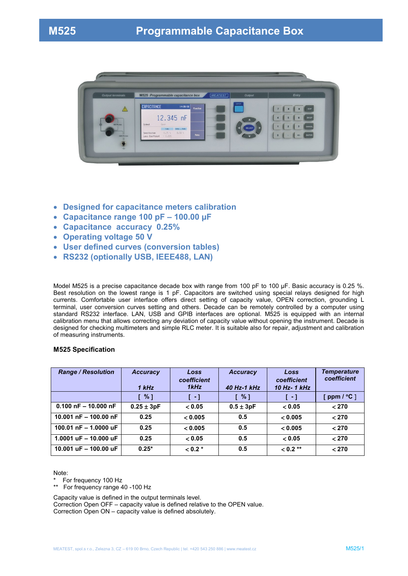

- **Designed for capacitance meters calibration**
- **Capacitance range 100 pF – 100.00 µF**
- **Capacitance accuracy 0.25%**
- **Operating voltage 50 V**
- **User defined curves (conversion tables)**
- **RS232 (optionally USB, IEEE488, LAN)**

Model M525 is a precise capacitance decade box with range from 100 pF to 100 µF. Basic accuracy is 0.25 %. Best resolution on the lowest range is 1 pF. Capacitors are switched using special relays designed for high currents. Comfortable user interface offers direct setting of capacity value, OPEN correction, grounding L terminal, user conversion curves setting and others. Decade can be remotely controlled by a computer using standard RS232 interface. LAN, USB and GPIB interfaces are optional. M525 is equipped with an internal calibration menu that allows correcting any deviation of capacity value without opening the instrument. Decade is designed for checking multimeters and simple RLC meter. It is suitable also for repair, adjustment and calibration of measuring instruments.

#### **M525 Specification**

| <b>Range / Resolution</b>       | <b>Accuracy</b><br>1 kHz | Loss<br>coefficient<br>1kHz | <b>Accuracy</b><br>40 Hz-1 kHz | Loss<br>coefficient<br>10 Hz- 1 kHz | <b>Temperature</b><br>coefficient |
|---------------------------------|--------------------------|-----------------------------|--------------------------------|-------------------------------------|-----------------------------------|
|                                 | [%]                      | $\Box$                      | $\sqrt{2}$                     | $\lceil -1 \rceil$                  | [ $ppm / {}^{\circ}C$ ]           |
| $0.100$ nF $- 10.000$ nF        | $0.25 \pm 3pF$           | < 0.05                      | $0.5 \pm 3pF$                  | < 0.05                              | < 270                             |
| 10.001 $nF - 100.00 nF$         | 0.25                     | < 0.005                     | 0.5                            | < 0.005                             | < 270                             |
| 100.01 $nF - 1.0000$ uF         | 0.25                     | < 0.005                     | 0.5                            | < 0.005                             | < 270                             |
| 1.0001 $\mu$ F - 10.000 $\mu$ F | 0.25                     | < 0.05                      | 0.5                            | < 0.05                              | < 270                             |
| 10.001 $\mu$ F - 100.00 $\mu$ F | $0.25*$                  | $< 0.2 *$                   | 0.5                            | $< 0.2$ **                          | < 270                             |

Note:

\* For frequency 100 Hz<br>\*\* For frequency range 4

For frequency range 40 -100 Hz

Capacity value is defined in the output terminals level.

Correction Open OFF – capacity value is defined relative to the OPEN value. Correction Open ON – capacity value is defined absolutely.